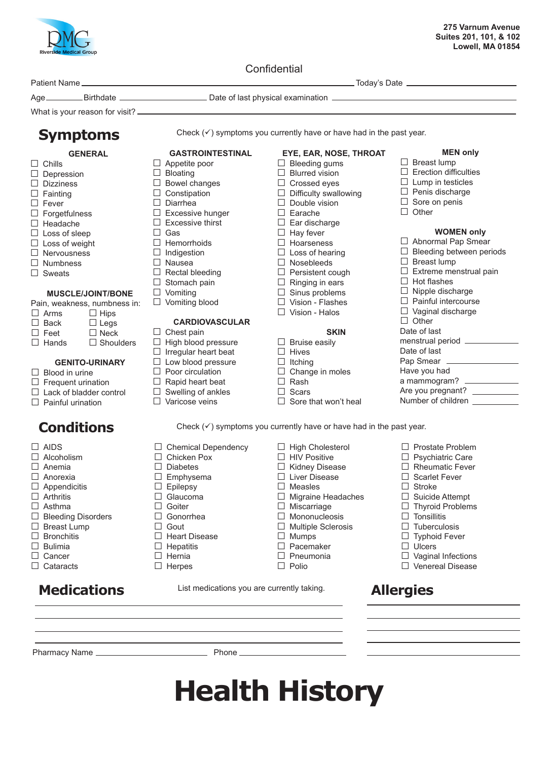

### Confidential

| Patient Name            |                                   | Date<br>lodav's |
|-------------------------|-----------------------------------|-----------------|
| <b>Birthdate</b><br>Age | Date of last physical examination |                 |

What is your reason for visit? \_\_\_\_\_\_\_\_\_\_

## **Symptoms**

Check  $(v)$  symptoms you currently have or have had in the past year.

| <b>GENERAL</b>                   | <b>GASTROINTESTINAL</b>    | EYE, EAR, NOSE, THROAT                                                         | <b>MEN only</b>                 |
|----------------------------------|----------------------------|--------------------------------------------------------------------------------|---------------------------------|
| $\Box$ Chills                    | $\Box$ Appetite poor       | $\Box$ Bleeding gums                                                           | $\Box$ Breast lump              |
| $\Box$ Depression                | $\Box$ Bloating            | $\Box$ Blurred vision                                                          | $\Box$ Erection difficulties    |
| $\Box$ Dizziness                 | Bowel changes              | $\Box$ Crossed eyes                                                            | $\Box$ Lump in testicles        |
| $\Box$ Fainting                  | Constipation               | $\Box$ Difficulty swallowing                                                   | $\Box$ Penis discharge          |
| $\Box$ Fever                     | Diarrhea                   | $\Box$ Double vision                                                           | $\Box$ Sore on penis            |
| $\Box$ Forgetfulness             | $\Box$ Excessive hunger    | $\Box$ Earache                                                                 | $\Box$ Other                    |
| $\Box$ Headache                  | Excessive thirst           | $\Box$ Ear discharge                                                           |                                 |
| $\Box$ Loss of sleep             | Gas<br>$\Box$              | $\Box$ Hay fever                                                               | <b>WOMEN only</b>               |
| $\Box$ Loss of weight            | <b>Hemorrhoids</b>         | Hoarseness                                                                     | □ Abnormal Pap Smear            |
| $\Box$ Nervousness               | $\Box$ Indigestion         | $\Box$ Loss of hearing                                                         | $\Box$ Bleeding between periods |
| $\Box$ Numbness                  | $\Box$ Nausea              | $\Box$ Nosebleeds                                                              | $\Box$ Breast lump              |
| $\Box$ Sweats                    | $\Box$ Rectal bleeding     | $\Box$ Persistent cough                                                        | $\Box$ Extreme menstrual pain   |
|                                  | $\Box$ Stomach pain        | $\Box$ Ringing in ears                                                         | $\Box$ Hot flashes              |
| <b>MUSCLE/JOINT/BONE</b>         | Vomiting<br>⊔              | Sinus problems                                                                 | $\Box$ Nipple discharge         |
| Pain, weakness, numbness in:     | $\Box$ Vomiting blood      | $\Box$ Vision - Flashes                                                        | $\Box$ Painful intercourse      |
| $\Box$ Arms<br>$\Box$ Hips       |                            | $\Box$ Vision - Halos                                                          | $\Box$ Vaginal discharge        |
| $\Box$ Back<br>$\Box$ Legs       | <b>CARDIOVASCULAR</b>      |                                                                                | $\Box$ Other                    |
| $\Box$ Neck<br>$\Box$ Feet       | $\Box$ Chest pain          | <b>SKIN</b>                                                                    | Date of last                    |
| $\Box$ Hands<br>$\Box$ Shoulders | High blood pressure        | $\Box$ Bruise easily                                                           | menstrual period ___________    |
|                                  | Irregular heart beat       | $\Box$ Hives                                                                   | Date of last                    |
| <b>GENITO-URINARY</b>            | $\Box$ Low blood pressure  | $\Box$ Itching                                                                 |                                 |
| $\Box$ Blood in urine            | $\Box$ Poor circulation    | $\Box$ Change in moles                                                         | Have you had                    |
| $\Box$ Frequent urination        | Rapid heart beat           | $\Box$ Rash                                                                    | a mammogram? ____________       |
| $\Box$ Lack of bladder control   | Swelling of ankles         | $\Box$ Scars                                                                   | Are you pregnant?               |
| $\Box$ Painful urination         | Varicose veins<br>П        | $\Box$ Sore that won't heal                                                    | Number of children              |
| <b>Conditions</b>                |                            | Check $(\checkmark)$ symptoms you currently have or have had in the past year. |                                 |
| $\Box$ AIDS                      | $\Box$ Chemical Dependency | $\Box$ High Cholesterol                                                        | $\Box$ Prostate Problem         |
| $\Box$ Alcoholism                | Chicken Pox<br>⊔           | $\Box$ HIV Positive                                                            | $\Box$ Psychiatric Care         |
| Anemia                           | <b>Diabetes</b><br>□       | $\Box$ Kidney Disease                                                          | $\Box$ Rheumatic Fever          |
| $\Box$ Anorexia                  | □<br>Emphysema             | $\Box$ Liver Disease                                                           | $\Box$<br><b>Scarlet Fever</b>  |

- $\Box$  Anemia □ Anorexia
- $\Box$  Appendicitis
- □ Arthritis

- □ Asthma
- □ Bleeding Disorders
- □ Breast Lump
- □ Bronchitis
- □ Bulimia
- □ Cancer
- □ Cataracts

□ Brasetee<br>□ Emphysema □ Epilepsy □ Glaucoma □ Gonorrhea

- 
- 
- $\square$  Hepatitis
- 
- 

□ Ridricy Broom □ Measles □ Migraine Headaches □ Miscarriage □ Mononucleosis □ Multiple Sclerosis □ Mumps □ Pacemaker □ Pneumonia

□ Riformation □ Stroke □ Suicide Attempt □ Thyroid Problems  $\square$  Tonsillitis □ Tuberculosis □ Typhoid Fever □ Ulcers □ Vaginal Infections □ Venereal Disease

Pharmacy Name Phone

# **Health History**

- □ Goiter
	-
- □ Gout
- □ Heart Disease
- 
- □ Hernia
- □ Herpes
- -
- 
- □ Polio

**Medications** List medications you are currently taking. **Allergies**